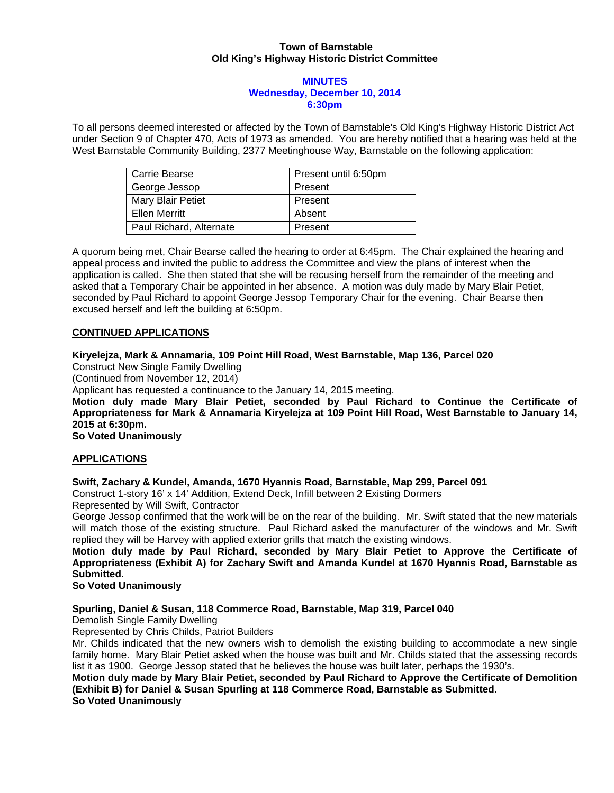#### **Town of Barnstable Old King's Highway Historic District Committee**

#### **MINUTES Wednesday, December 10, 2014 6:30pm**

To all persons deemed interested or affected by the Town of Barnstable's Old King's Highway Historic District Act under Section 9 of Chapter 470, Acts of 1973 as amended. You are hereby notified that a hearing was held at the West Barnstable Community Building, 2377 Meetinghouse Way, Barnstable on the following application:

| Carrie Bearse           | Present until 6:50pm |
|-------------------------|----------------------|
| George Jessop           | Present              |
| Mary Blair Petiet       | Present              |
| Ellen Merritt           | Absent               |
| Paul Richard, Alternate | Present              |

A quorum being met, Chair Bearse called the hearing to order at 6:45pm. The Chair explained the hearing and appeal process and invited the public to address the Committee and view the plans of interest when the application is called. She then stated that she will be recusing herself from the remainder of the meeting and asked that a Temporary Chair be appointed in her absence. A motion was duly made by Mary Blair Petiet, seconded by Paul Richard to appoint George Jessop Temporary Chair for the evening. Chair Bearse then excused herself and left the building at 6:50pm.

#### **CONTINUED APPLICATIONS**

**Kiryelejza, Mark & Annamaria, 109 Point Hill Road, West Barnstable, Map 136, Parcel 020** 

Construct New Single Family Dwelling

(Continued from November 12, 2014)

Applicant has requested a continuance to the January 14, 2015 meeting.

**Motion duly made Mary Blair Petiet, seconded by Paul Richard to Continue the Certificate of Appropriateness for Mark & Annamaria Kiryelejza at 109 Point Hill Road, West Barnstable to January 14, 2015 at 6:30pm.** 

**So Voted Unanimously** 

#### **APPLICATIONS**

#### **Swift, Zachary & Kundel, Amanda, 1670 Hyannis Road, Barnstable, Map 299, Parcel 091**

Construct 1-story 16' x 14' Addition, Extend Deck, Infill between 2 Existing Dormers

Represented by Will Swift, Contractor

George Jessop confirmed that the work will be on the rear of the building. Mr. Swift stated that the new materials will match those of the existing structure. Paul Richard asked the manufacturer of the windows and Mr. Swift replied they will be Harvey with applied exterior grills that match the existing windows.

**Motion duly made by Paul Richard, seconded by Mary Blair Petiet to Approve the Certificate of Appropriateness (Exhibit A) for Zachary Swift and Amanda Kundel at 1670 Hyannis Road, Barnstable as Submitted.** 

#### **So Voted Unanimously**

#### **Spurling, Daniel & Susan, 118 Commerce Road, Barnstable, Map 319, Parcel 040**

Demolish Single Family Dwelling

Represented by Chris Childs, Patriot Builders

Mr. Childs indicated that the new owners wish to demolish the existing building to accommodate a new single family home. Mary Blair Petiet asked when the house was built and Mr. Childs stated that the assessing records list it as 1900. George Jessop stated that he believes the house was built later, perhaps the 1930's.

**Motion duly made by Mary Blair Petiet, seconded by Paul Richard to Approve the Certificate of Demolition (Exhibit B) for Daniel & Susan Spurling at 118 Commerce Road, Barnstable as Submitted. So Voted Unanimously**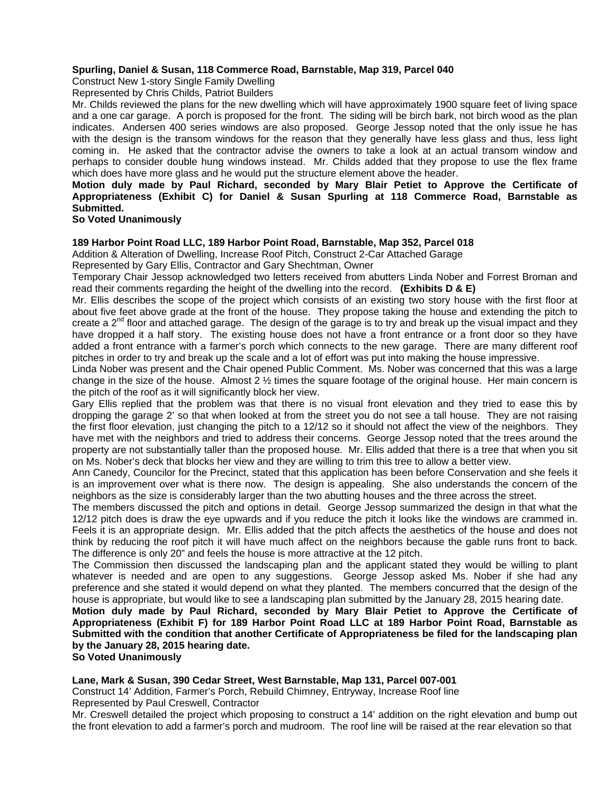#### **Spurling, Daniel & Susan, 118 Commerce Road, Barnstable, Map 319, Parcel 040**

Construct New 1-story Single Family Dwelling

Represented by Chris Childs, Patriot Builders

Mr. Childs reviewed the plans for the new dwelling which will have approximately 1900 square feet of living space and a one car garage. A porch is proposed for the front. The siding will be birch bark, not birch wood as the plan indicates. Andersen 400 series windows are also proposed. George Jessop noted that the only issue he has with the design is the transom windows for the reason that they generally have less glass and thus, less light coming in. He asked that the contractor advise the owners to take a look at an actual transom window and perhaps to consider double hung windows instead. Mr. Childs added that they propose to use the flex frame which does have more glass and he would put the structure element above the header.

### **Motion duly made by Paul Richard, seconded by Mary Blair Petiet to Approve the Certificate of Appropriateness (Exhibit C) for Daniel & Susan Spurling at 118 Commerce Road, Barnstable as Submitted.**

#### **So Voted Unanimously**

#### **189 Harbor Point Road LLC, 189 Harbor Point Road, Barnstable, Map 352, Parcel 018**

Addition & Alteration of Dwelling, Increase Roof Pitch, Construct 2-Car Attached Garage Represented by Gary Ellis, Contractor and Gary Shechtman, Owner

Temporary Chair Jessop acknowledged two letters received from abutters Linda Nober and Forrest Broman and read their comments regarding the height of the dwelling into the record. **(Exhibits D & E)**

Mr. Ellis describes the scope of the project which consists of an existing two story house with the first floor at about five feet above grade at the front of the house. They propose taking the house and extending the pitch to create a  $2^{nd}$  floor and attached garage. The design of the garage is to try and break up the visual impact and they have dropped it a half story. The existing house does not have a front entrance or a front door so they have added a front entrance with a farmer's porch which connects to the new garage. There are many different roof pitches in order to try and break up the scale and a lot of effort was put into making the house impressive.

Linda Nober was present and the Chair opened Public Comment. Ms. Nober was concerned that this was a large change in the size of the house. Almost  $2 \frac{1}{2}$  times the square footage of the original house. Her main concern is the pitch of the roof as it will significantly block her view.

Gary Ellis replied that the problem was that there is no visual front elevation and they tried to ease this by dropping the garage 2' so that when looked at from the street you do not see a tall house. They are not raising the first floor elevation, just changing the pitch to a 12/12 so it should not affect the view of the neighbors. They have met with the neighbors and tried to address their concerns. George Jessop noted that the trees around the property are not substantially taller than the proposed house. Mr. Ellis added that there is a tree that when you sit on Ms. Nober's deck that blocks her view and they are willing to trim this tree to allow a better view.

Ann Canedy, Councilor for the Precinct, stated that this application has been before Conservation and she feels it is an improvement over what is there now. The design is appealing. She also understands the concern of the neighbors as the size is considerably larger than the two abutting houses and the three across the street.

The members discussed the pitch and options in detail. George Jessop summarized the design in that what the 12/12 pitch does is draw the eye upwards and if you reduce the pitch it looks like the windows are crammed in. Feels it is an appropriate design. Mr. Ellis added that the pitch affects the aesthetics of the house and does not think by reducing the roof pitch it will have much affect on the neighbors because the gable runs front to back. The difference is only 20" and feels the house is more attractive at the 12 pitch.

The Commission then discussed the landscaping plan and the applicant stated they would be willing to plant whatever is needed and are open to any suggestions. George Jessop asked Ms. Nober if she had any preference and she stated it would depend on what they planted. The members concurred that the design of the house is appropriate, but would like to see a landscaping plan submitted by the January 28, 2015 hearing date.

**Motion duly made by Paul Richard, seconded by Mary Blair Petiet to Approve the Certificate of Appropriateness (Exhibit F) for 189 Harbor Point Road LLC at 189 Harbor Point Road, Barnstable as Submitted with the condition that another Certificate of Appropriateness be filed for the landscaping plan by the January 28, 2015 hearing date.** 

**So Voted Unanimously** 

#### **Lane, Mark & Susan, 390 Cedar Street, West Barnstable, Map 131, Parcel 007-001**

Construct 14' Addition, Farmer's Porch, Rebuild Chimney, Entryway, Increase Roof line Represented by Paul Creswell, Contractor

Mr. Creswell detailed the project which proposing to construct a 14' addition on the right elevation and bump out the front elevation to add a farmer's porch and mudroom. The roof line will be raised at the rear elevation so that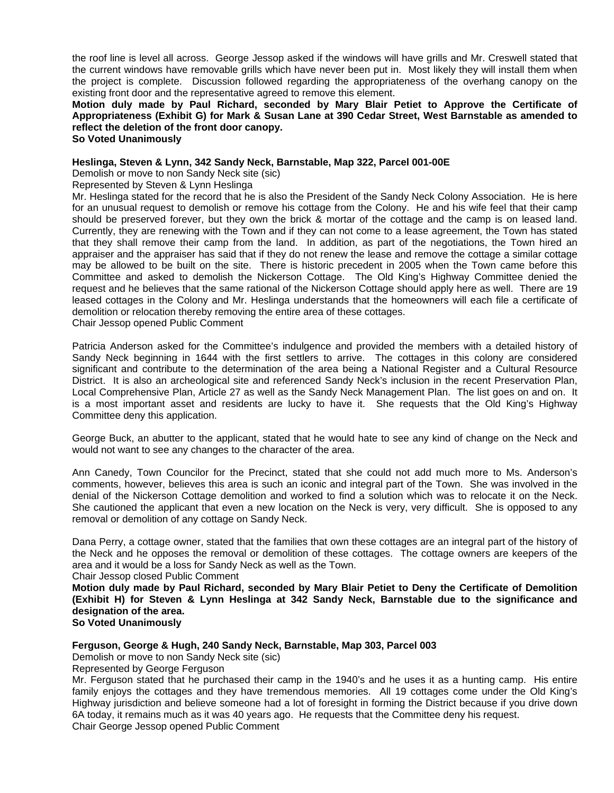the roof line is level all across. George Jessop asked if the windows will have grills and Mr. Creswell stated that the current windows have removable grills which have never been put in. Most likely they will install them when the project is complete. Discussion followed regarding the appropriateness of the overhang canopy on the existing front door and the representative agreed to remove this element.

**Motion duly made by Paul Richard, seconded by Mary Blair Petiet to Approve the Certificate of Appropriateness (Exhibit G) for Mark & Susan Lane at 390 Cedar Street, West Barnstable as amended to reflect the deletion of the front door canopy.** 

**So Voted Unanimously** 

#### **Heslinga, Steven & Lynn, 342 Sandy Neck, Barnstable, Map 322, Parcel 001-00E**

Demolish or move to non Sandy Neck site (sic)

Represented by Steven & Lynn Heslinga

Mr. Heslinga stated for the record that he is also the President of the Sandy Neck Colony Association. He is here for an unusual request to demolish or remove his cottage from the Colony. He and his wife feel that their camp should be preserved forever, but they own the brick & mortar of the cottage and the camp is on leased land. Currently, they are renewing with the Town and if they can not come to a lease agreement, the Town has stated that they shall remove their camp from the land. In addition, as part of the negotiations, the Town hired an appraiser and the appraiser has said that if they do not renew the lease and remove the cottage a similar cottage may be allowed to be built on the site. There is historic precedent in 2005 when the Town came before this Committee and asked to demolish the Nickerson Cottage. The Old King's Highway Committee denied the request and he believes that the same rational of the Nickerson Cottage should apply here as well. There are 19 leased cottages in the Colony and Mr. Heslinga understands that the homeowners will each file a certificate of demolition or relocation thereby removing the entire area of these cottages. Chair Jessop opened Public Comment

Patricia Anderson asked for the Committee's indulgence and provided the members with a detailed history of Sandy Neck beginning in 1644 with the first settlers to arrive. The cottages in this colony are considered significant and contribute to the determination of the area being a National Register and a Cultural Resource District. It is also an archeological site and referenced Sandy Neck's inclusion in the recent Preservation Plan, Local Comprehensive Plan, Article 27 as well as the Sandy Neck Management Plan. The list goes on and on. It is a most important asset and residents are lucky to have it. She requests that the Old King's Highway Committee deny this application.

George Buck, an abutter to the applicant, stated that he would hate to see any kind of change on the Neck and would not want to see any changes to the character of the area.

Ann Canedy, Town Councilor for the Precinct, stated that she could not add much more to Ms. Anderson's comments, however, believes this area is such an iconic and integral part of the Town. She was involved in the denial of the Nickerson Cottage demolition and worked to find a solution which was to relocate it on the Neck. She cautioned the applicant that even a new location on the Neck is very, very difficult. She is opposed to any removal or demolition of any cottage on Sandy Neck.

Dana Perry, a cottage owner, stated that the families that own these cottages are an integral part of the history of the Neck and he opposes the removal or demolition of these cottages. The cottage owners are keepers of the area and it would be a loss for Sandy Neck as well as the Town.

#### Chair Jessop closed Public Comment

**Motion duly made by Paul Richard, seconded by Mary Blair Petiet to Deny the Certificate of Demolition (Exhibit H) for Steven & Lynn Heslinga at 342 Sandy Neck, Barnstable due to the significance and designation of the area.** 

## **So Voted Unanimously**

#### **Ferguson, George & Hugh, 240 Sandy Neck, Barnstable, Map 303, Parcel 003**

Demolish or move to non Sandy Neck site (sic)

Represented by George Ferguson

Mr. Ferguson stated that he purchased their camp in the 1940's and he uses it as a hunting camp. His entire family enjoys the cottages and they have tremendous memories. All 19 cottages come under the Old King's Highway jurisdiction and believe someone had a lot of foresight in forming the District because if you drive down 6A today, it remains much as it was 40 years ago. He requests that the Committee deny his request. Chair George Jessop opened Public Comment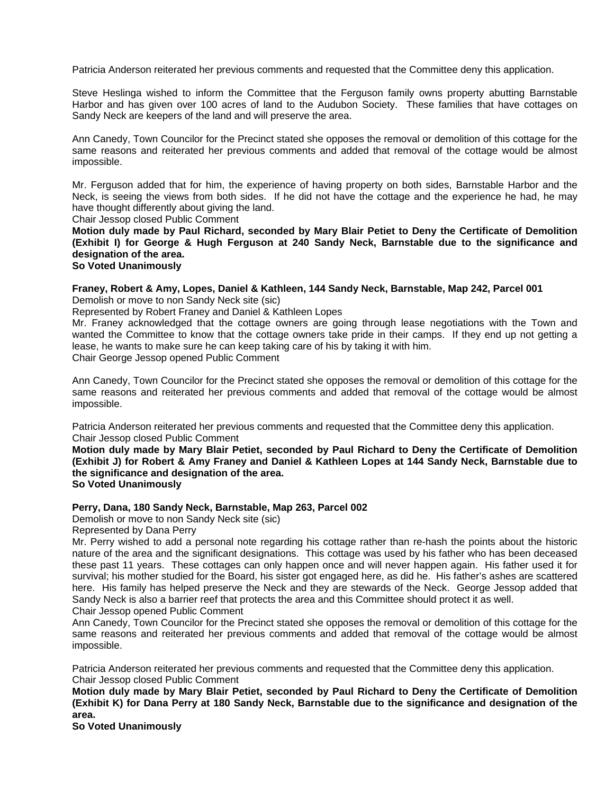Patricia Anderson reiterated her previous comments and requested that the Committee deny this application.

Steve Heslinga wished to inform the Committee that the Ferguson family owns property abutting Barnstable Harbor and has given over 100 acres of land to the Audubon Society. These families that have cottages on Sandy Neck are keepers of the land and will preserve the area.

Ann Canedy, Town Councilor for the Precinct stated she opposes the removal or demolition of this cottage for the same reasons and reiterated her previous comments and added that removal of the cottage would be almost impossible.

Mr. Ferguson added that for him, the experience of having property on both sides, Barnstable Harbor and the Neck, is seeing the views from both sides. If he did not have the cottage and the experience he had, he may have thought differently about giving the land.

Chair Jessop closed Public Comment

**Motion duly made by Paul Richard, seconded by Mary Blair Petiet to Deny the Certificate of Demolition (Exhibit I) for George & Hugh Ferguson at 240 Sandy Neck, Barnstable due to the significance and designation of the area.** 

#### **So Voted Unanimously**

#### **Franey, Robert & Amy, Lopes, Daniel & Kathleen, 144 Sandy Neck, Barnstable, Map 242, Parcel 001**  Demolish or move to non Sandy Neck site (sic)

Represented by Robert Franey and Daniel & Kathleen Lopes

Mr. Franey acknowledged that the cottage owners are going through lease negotiations with the Town and wanted the Committee to know that the cottage owners take pride in their camps. If they end up not getting a lease, he wants to make sure he can keep taking care of his by taking it with him. Chair George Jessop opened Public Comment

Ann Canedy, Town Councilor for the Precinct stated she opposes the removal or demolition of this cottage for the same reasons and reiterated her previous comments and added that removal of the cottage would be almost impossible.

Patricia Anderson reiterated her previous comments and requested that the Committee deny this application. Chair Jessop closed Public Comment

**Motion duly made by Mary Blair Petiet, seconded by Paul Richard to Deny the Certificate of Demolition (Exhibit J) for Robert & Amy Franey and Daniel & Kathleen Lopes at 144 Sandy Neck, Barnstable due to the significance and designation of the area. So Voted Unanimously** 

# **Perry, Dana, 180 Sandy Neck, Barnstable, Map 263, Parcel 002**

Demolish or move to non Sandy Neck site (sic)

Represented by Dana Perry

Mr. Perry wished to add a personal note regarding his cottage rather than re-hash the points about the historic nature of the area and the significant designations. This cottage was used by his father who has been deceased these past 11 years. These cottages can only happen once and will never happen again. His father used it for survival; his mother studied for the Board, his sister got engaged here, as did he. His father's ashes are scattered here. His family has helped preserve the Neck and they are stewards of the Neck. George Jessop added that Sandy Neck is also a barrier reef that protects the area and this Committee should protect it as well. Chair Jessop opened Public Comment

Ann Canedy, Town Councilor for the Precinct stated she opposes the removal or demolition of this cottage for the same reasons and reiterated her previous comments and added that removal of the cottage would be almost impossible.

Patricia Anderson reiterated her previous comments and requested that the Committee deny this application. Chair Jessop closed Public Comment

**Motion duly made by Mary Blair Petiet, seconded by Paul Richard to Deny the Certificate of Demolition (Exhibit K) for Dana Perry at 180 Sandy Neck, Barnstable due to the significance and designation of the area.** 

**So Voted Unanimously**